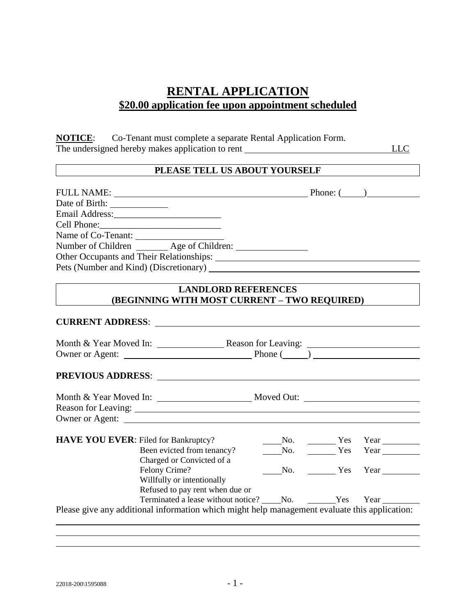## **RENTAL APPLICATION \$20.00 application fee upon appointment scheduled**

**NOTICE**: Co-Tenant must complete a separate Rental Application Form. The undersigned hereby makes application to rent LLC

## **PLEASE TELL US ABOUT YOURSELF**

| <b>FULL NAME:</b>                      |                                                         | Phone: ( |  |
|----------------------------------------|---------------------------------------------------------|----------|--|
|                                        |                                                         |          |  |
|                                        |                                                         |          |  |
|                                        |                                                         |          |  |
| Name of Co-Tenant:                     |                                                         |          |  |
|                                        | Number of Children Age of Children:                     |          |  |
|                                        | Other Occupants and Their Relationships: New York 1988. |          |  |
| Pets (Number and Kind) (Discretionary) |                                                         |          |  |

## **LANDLORD REFERENCES (BEGINNING WITH MOST CURRENT – TWO REQUIRED)**

| <b>CURRENT ADDRESS:</b>                                                                                         |  |  |              |
|-----------------------------------------------------------------------------------------------------------------|--|--|--------------|
|                                                                                                                 |  |  |              |
|                                                                                                                 |  |  |              |
|                                                                                                                 |  |  |              |
| Month & Year Moved In: Moved Out: Moved Out:                                                                    |  |  |              |
|                                                                                                                 |  |  |              |
| Owner or Agent:                                                                                                 |  |  |              |
| <b>HAVE YOU EVER:</b> Filed for Bankruptcy?                                                                     |  |  |              |
| Filed for Bankruptcy? Mo. No. No. Yes Year Neen evicted from tenancy? No. No. No. Year Near News Year News Year |  |  |              |
| Charged or Convicted of a                                                                                       |  |  |              |
| Felony Crime?                                                                                                   |  |  | No. Yes Year |
| Willfully or intentionally                                                                                      |  |  |              |
| Refused to pay rent when due or                                                                                 |  |  |              |
| Terminated a lease without notice? No. No. Yes Year                                                             |  |  |              |
| Please give any additional information which might help management evaluate this application:                   |  |  |              |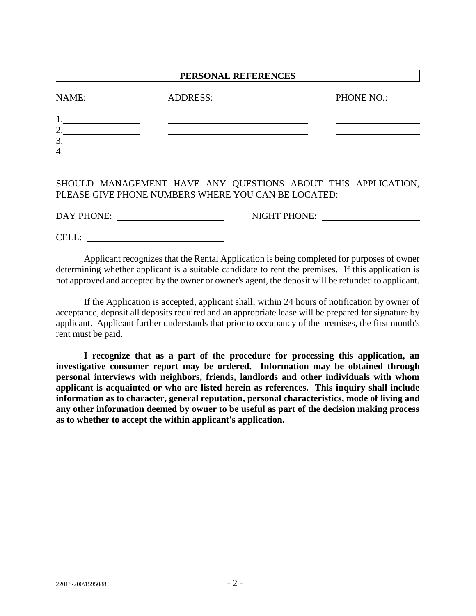| PERSONAL REFERENCES |                 |            |  |  |  |
|---------------------|-----------------|------------|--|--|--|
| NAME:               | <b>ADDRESS:</b> | PHONE NO.: |  |  |  |
|                     |                 |            |  |  |  |
| ∍<br>٠.             |                 |            |  |  |  |
| 3.                  |                 |            |  |  |  |
| 4                   |                 |            |  |  |  |
|                     |                 |            |  |  |  |

SHOULD MANAGEMENT HAVE ANY QUESTIONS ABOUT THIS APPLICATION, PLEASE GIVE PHONE NUMBERS WHERE YOU CAN BE LOCATED:

DAY PHONE: NIGHT PHONE:

CELL:

Applicant recognizes that the Rental Application is being completed for purposes of owner determining whether applicant is a suitable candidate to rent the premises. If this application is not approved and accepted by the owner or owner's agent, the deposit will be refunded to applicant.

If the Application is accepted, applicant shall, within 24 hours of notification by owner of acceptance, deposit all deposits required and an appropriate lease will be prepared for signature by applicant. Applicant further understands that prior to occupancy of the premises, the first month's rent must be paid.

**I recognize that as a part of the procedure for processing this application, an investigative consumer report may be ordered. Information may be obtained through personal interviews with neighbors, friends, landlords and other individuals with whom applicant is acquainted or who are listed herein as references. This inquiry shall include information as to character, general reputation, personal characteristics, mode of living and any other information deemed by owner to be useful as part of the decision making process as to whether to accept the within applicant's application.**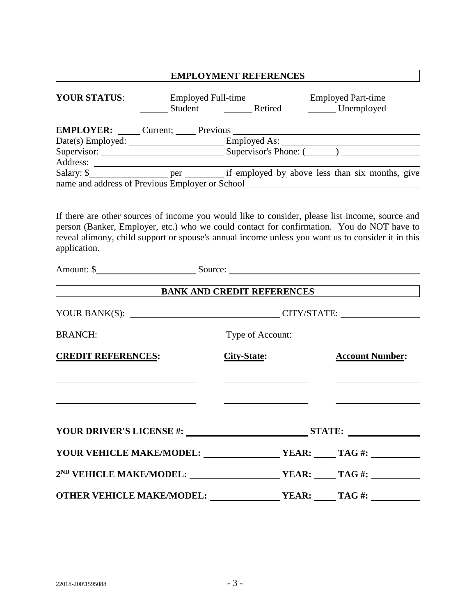|                                                                                                                                                                                                                                                                                                                   | <b>EMPLOYMENT REFERENCES</b>          |                        |  |  |
|-------------------------------------------------------------------------------------------------------------------------------------------------------------------------------------------------------------------------------------------------------------------------------------------------------------------|---------------------------------------|------------------------|--|--|
| <b>YOUR STATUS:</b>                                                                                                                                                                                                                                                                                               | Employed Full-time Employed Part-time |                        |  |  |
| <b>EMPLOYER:</b> Current; Previous                                                                                                                                                                                                                                                                                |                                       |                        |  |  |
|                                                                                                                                                                                                                                                                                                                   |                                       |                        |  |  |
|                                                                                                                                                                                                                                                                                                                   |                                       |                        |  |  |
|                                                                                                                                                                                                                                                                                                                   |                                       |                        |  |  |
| name and address of Previous Employer or School _________________________________                                                                                                                                                                                                                                 |                                       |                        |  |  |
| If there are other sources of income you would like to consider, please list income, source and<br>person (Banker, Employer, etc.) who we could contact for confirmation. You do NOT have to<br>reveal alimony, child support or spouse's annual income unless you want us to consider it in this<br>application. |                                       |                        |  |  |
|                                                                                                                                                                                                                                                                                                                   | <b>BANK AND CREDIT REFERENCES</b>     |                        |  |  |
|                                                                                                                                                                                                                                                                                                                   |                                       |                        |  |  |
|                                                                                                                                                                                                                                                                                                                   | BRANCH: Type of Account:              |                        |  |  |
| <b>CREDIT REFERENCES:</b>                                                                                                                                                                                                                                                                                         | <b>City-State:</b>                    | <b>Account Number:</b> |  |  |
|                                                                                                                                                                                                                                                                                                                   |                                       |                        |  |  |
|                                                                                                                                                                                                                                                                                                                   | YOUR DRIVER'S LICENSE #: STATE:       |                        |  |  |
|                                                                                                                                                                                                                                                                                                                   |                                       |                        |  |  |
|                                                                                                                                                                                                                                                                                                                   |                                       |                        |  |  |
|                                                                                                                                                                                                                                                                                                                   |                                       |                        |  |  |